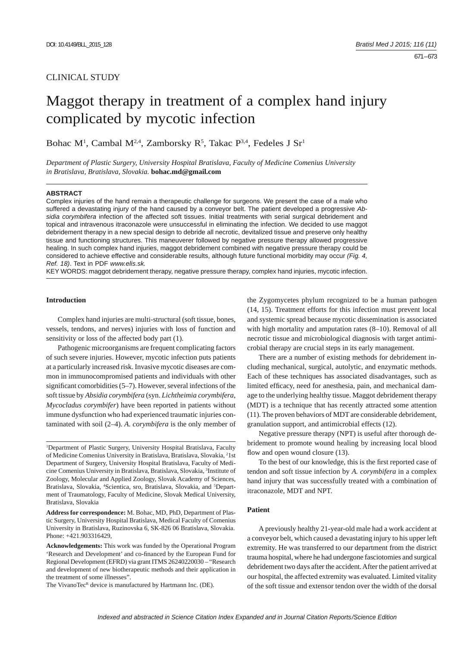## CLINICAL STUDY

# Maggot therapy in treatment of a complex hand injury complicated by mycotic infection

Bohac M<sup>1</sup>, Cambal M<sup>2,4</sup>, Zamborsky R<sup>5</sup>, Takac P<sup>3,4</sup>, Fedeles J Sr<sup>1</sup>

*Department of Plastic Surgery, University Hospital Bratislava, Faculty of Medicine Comenius University in Bratislava, Bratislava, Slovakia.* **bohac.md@gmail.com**

#### **ABSTRACT**

Complex injuries of the hand remain a therapeutic challenge for surgeons. We present the case of a male who suffered a devastating injury of the hand caused by a conveyor belt. The patient developed a progressive *Absidia corymbifera* infection of the affected soft tissues. Initial treatments with serial surgical debridement and topical and intravenous itraconazole were unsuccessful in eliminating the infection. We decided to use maggot debridement therapy in a new special design to debride all necrotic, devitalized tissue and preserve only healthy tissue and functioning structures. This maneuverer followed by negative pressure therapy allowed progressive healing. In such complex hand injuries, maggot debridement combined with negative pressure therapy could be considered to achieve effective and considerable results, although future functional morbidity may occur *(Fig. 4, Ref. 18)*. Text in PDF *www.elis.sk.*

KEY WORDS: maggot debridement therapy, negative pressure therapy, complex hand injuries, mycotic infection.

## **Introduction**

Complex hand injuries are multi-structural (soft tissue, bones, vessels, tendons, and nerves) injuries with loss of function and sensitivity or loss of the affected body part (1).

Pathogenic microorganisms are frequent complicating factors of such severe injuries. However, mycotic infection puts patients at a particularly increased risk. Invasive mycotic diseases are common in immunocompromised patients and individuals with other significant comorbidities  $(5-7)$ . However, several infections of the soft tissue by *Absidia corymbifera* (syn. *Lichtheimia corymbifera*, *Mycocladus corymbifer*) have been reported in patients without immune dysfunction who had experienced traumatic injuries contaminated with soil (2–4)*. A. corymbifera* is the only member of

<sup>1</sup>Department of Plastic Surgery, University Hospital Bratislava, Faculty of Medicine Comenius University in Bratislava, Bratislava, Slovakia, <sup>2</sup>1st Department of Surgery, University Hospital Bratislava, Faculty of Medicine Comenius University in Bratislava, Bratislava, Slovakia, 3 Institute of Zoology, Molecular and Applied Zoology, Slovak Academy of Sciences, Bratislava, Slovakia, <sup>4</sup>Scientica, sro, Bratislava, Slovakia, and <sup>5</sup>Department of Traumatology, Faculty of Medicine, Slovak Medical University, Bratislava, Slovakia

**Address for correspondence:** M. Bohac, MD, PhD, Department of Plastic Surgery, University Hospital Bratislava, Medical Faculty of Comenius University in Bratislava, Ruzinovska 6, SK-826 06 Bratislava, Slovakia. Phone: +421.903316429,

**Acknowledgements:** This work was funded by the Operational Program 'Research and Development' and co-financed by the European Fund for Regional Development (EFRD) via grant ITMS 26240220030 – "Research and development of new biotherapeutic methods and their application in the treatment of some illnesses".

The VivanoTecR device is manufactured by Hartmann Inc. (DE).

the Zygomycetes phylum recognized to be a human pathogen (14, 15). Treatment efforts for this infection must prevent local and systemic spread because mycotic dissemination is associated with high mortality and amputation rates (8–10). Removal of all necrotic tissue and microbiological diagnosis with target antimicrobial therapy are crucial steps in its early management.

There are a number of existing methods for debridement including mechanical, surgical, autolytic, and enzymatic methods. Each of these techniques has associated disadvantages, such as limited efficacy, need for anesthesia, pain, and mechanical damage to the underlying healthy tissue. Maggot debridement therapy (MDT) is a technique that has recently attracted some attention (11). The proven behaviors of MDT are considerable debridement, granulation support, and antimicrobial effects (12).

Negative pressure therapy (NPT) is useful after thorough debridement to promote wound healing by increasing local blood flow and open wound closure (13).

To the best of our knowledge, this is the first reported case of tendon and soft tissue infection by *A. corymbifera* in a complex hand injury that was successfully treated with a combination of itraconazole, MDT and NPT.

#### **Patient**

A previously healthy 21-year-old male had a work accident at a conveyor belt, which caused a devastating injury to his upper left extremity. He was transferred to our department from the district trauma hospital, where he had undergone fasciotomies and surgical debridement two days after the accident. After the patient arrived at our hospital, the affected extremity was evaluated. Limited vitality of the soft tissue and extensor tendon over the width of the dorsal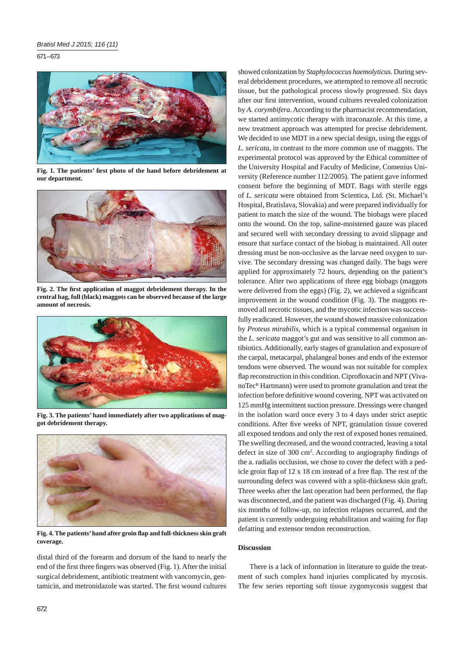$671 - 673$ 



Fig. 1. The patients' first photo of the hand before debridement at **our department.**



Fig. 2. The first application of maggot debridement therapy. In the **central bag, full (black) maggots can be observed because of the large amount of necrosis.**



**Fig. 3. The patients' hand immediately after two applications of maggot debridement therapy.**



**Fig. 4. The patients' hand after groin fl ap and full-thickness skin graft coverage.**

distal third of the forearm and dorsum of the hand to nearly the end of the first three fingers was observed (Fig. 1). After the initial surgical debridement, antibiotic treatment with vancomycin, gentamicin, and metronidazole was started. The first wound cultures showed colonization by *Staphylococcus haemolyticus*. During several debridement procedures, we attempted to remove all necrotic tissue, but the pathological process slowly progressed. Six days after our first intervention, wound cultures revealed colonization by *A. corymbifera*. According to the pharmacist recommendation, we started antimycotic therapy with itraconazole. At this time, a new treatment approach was attempted for precise debridement. We decided to use MDT in a new special design, using the eggs of *L. sericata*, in contrast to the more common use of maggots. The experimental protocol was approved by the Ethical committee of the University Hospital and Faculty of Medicine, Comenius University (Reference number 112/2005). The patient gave informed consent before the beginning of MDT. Bags with sterile eggs of *L. sericata* were obtained from Scientica, Ltd. (St. Michael's Hospital, Bratislava, Slovakia) and were prepared individually for patient to match the size of the wound. The biobags were placed onto the wound. On the top, saline-moistened gauze was placed and secured well with secondary dressing to avoid slippage and ensure that surface contact of the biobag is maintained. All outer dressing must be non-occlusive as the larvae need oxygen to survive. The secondary dressing was changed daily. The bags were applied for approximately 72 hours, depending on the patient's tolerance. After two applications of three egg biobags (maggots were delivered from the eggs) (Fig. 2), we achieved a significant improvement in the wound condition (Fig. 3). The maggots removed all necrotic tissues, and the mycotic infection was successfully eradicated. However, the wound showed massive colonization by *Proteus mirabilis*, which is a typical commensal organism in the *L. sericata* maggot's gut and was sensitive to all common antibiotics. Additionally, early stages of granulation and exposure of the carpal, metacarpal, phalangeal bones and ends of the extensor tendons were observed. The wound was not suitable for complex flap reconstruction in this condition. Ciprofloxacin and NPT (VivanoTec<sup>R</sup> Hartmann) were used to promote granulation and treat the infection before definitive wound covering. NPT was activated on 125 mmHg intermittent suction pressure. Dressings were changed in the isolation ward once every 3 to 4 days under strict aseptic conditions. After five weeks of NPT, granulation tissue covered all exposed tendons and only the rest of exposed bones remained. The swelling decreased, and the wound contracted, leaving a total defect in size of 300 cm<sup>2</sup>. According to angiography findings of the a. radialis occlusion, we chose to cover the defect with a pedicle groin flap of  $12 \times 18$  cm instead of a free flap. The rest of the surrounding defect was covered with a split-thickness skin graft. Three weeks after the last operation had been performed, the flap was disconnected, and the patient was discharged (Fig. 4). During six months of follow-up, no infection relapses occurred, and the patient is currently undergoing rehabilitation and waiting for flap defatting and extensor tendon reconstruction.

### **Discussion**

There is a lack of information in literature to guide the treatment of such complex hand injuries complicated by mycosis. The few series reporting soft tissue zygomycosis suggest that